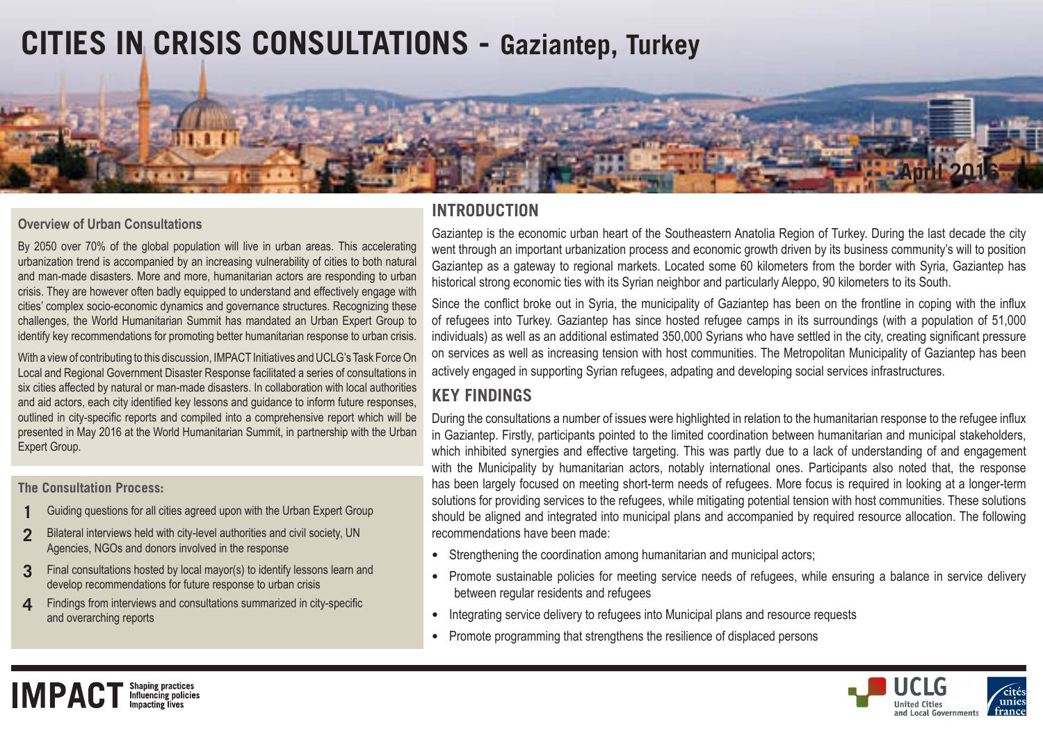# **CITIES IN CRISIS CONSULTATIONS - Gaziantep, Turkey**



### **Overview of Urban Consultations**

By 2050 over 70% of the global population will live in urban areas. This accelerating urbanization trend is accompanied by an increasing vulnerability of cities to both natural and man-made disasters. More and more, humanitarian actors are responding to urban crisis. They are however often badly equipped to understand and effectively engage with cities' complex socio-economic dynamics and governance structures. Recognizing these challenges, the World Humanitarian Summit has mandated an Urban Expert Group to identify key recommendations for promoting better humanitarian response to urban crisis.

With a view of contributing to this discussion, IMPACT Initiatives and UCLG's Task Force On Local and Regional Government Disaster Response facilitated a series of consultations in six cities affected by natural or man-made disasters. In collaboration with local authorities and aid actors, each city identified key lessons and guidance to inform future responses, outlined in city-specific reports and compiled into a comprehensive report which will be presented in May 2016 at the World Humanitarian Summit, in partnership with the Urban Expert Group.

#### **The Consultation Process:**

**IMPACT Influencing policies** 

- **1** Guiding questions for all cities agreed upon with the Urban Expert Group
- **2** Bilateral interviews held with city-level authorities and civil society, UN Agencies, NGOs and donors involved in the response
- **3** Final consultations hosted by local mayor(s) to identify lessons learn and develop recommendations for future response to urban crisis
- **4** Findings from interviews and consultations summarized in city-specific and overarching reports

## **INTRODUCTION**

Gaziantep is the economic urban heart of the Southeastern Anatolia Region of Turkey. During the last decade the city went through an important urbanization process and economic growth driven by its business community's will to position Gaziantep as a gateway to regional markets. Located some 60 kilometers from the border with Syria, Gaziantep has historical strong economic ties with its Syrian neighbor and particularly Aleppo, 90 kilometers to its South.

Since the conflict broke out in Syria, the municipality of Gaziantep has been on the frontline in coping with the influx of refugees into Turkey. Gaziantep has since hosted refugee camps in its surroundings (with a population of 51,000 individuals) as well as an additional estimated 350,000 Syrians who have settled in the city, creating significant pressure on services as well as increasing tension with host communities. The Metropolitan Municipality of Gaziantep has been actively engaged in supporting Syrian refugees, adpating and developing social services infrastructures.

# **KEY FINDINGS**

During the consultations a number of issues were highlighted in relation to the humanitarian response to the refugee influx in Gaziantep. Firstly, participants pointed to the limited coordination between humanitarian and municipal stakeholders, which inhibited synergies and effective targeting. This was partly due to a lack of understanding of and engagement with the Municipality by humanitarian actors, notably international ones. Participants also noted that, the response has been largely focused on meeting short-term needs of refugees. More focus is required in looking at a longer-term solutions for providing services to the refugees, while mitigating potential tension with host communities. These solutions should be aligned and integrated into municipal plans and accompanied by required resource allocation. The following recommendations have been made:

- **•** Strengthening the coordination among humanitarian and municipal actors;
- **•** Promote sustainable policies for meeting service needs of refugees, while ensuring a balance in service delivery between regular residents and refugees
- **•** Integrating service delivery to refugees into Municipal plans and resource requests
- **•** Promote programming that strengthens the resilience of displaced persons

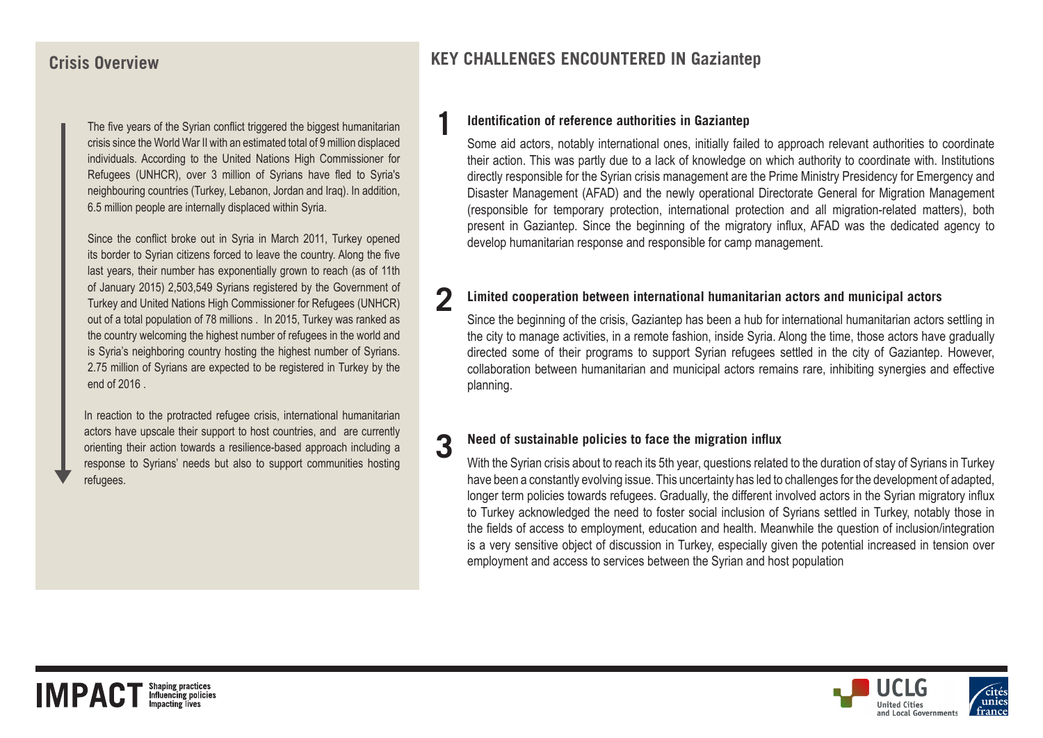## **Crisis Overview**

The five years of the Syrian conflict triggered the biggest humanitarian crisis since the World War II with an estimated total of 9 million displaced individuals. According to the United Nations High Commissioner for Refugees (UNHCR), over 3 million of Syrians have fled to Syria's neighbouring countries (Turkey, Lebanon, Jordan and Iraq). In addition, 6.5 million people are internally displaced within Syria.

Since the conflict broke out in Syria in March 2011, Turkey opened its border to Syrian citizens forced to leave the country. Along the five last years, their number has exponentially grown to reach (as of 11th of January 2015) 2,503,549 Syrians registered by the Government of Turkey and United Nations High Commissioner for Refugees (UNHCR) out of a total population of 78 millions . In 2015, Turkey was ranked as the country welcoming the highest number of refugees in the world and is Syria's neighboring country hosting the highest number of Syrians. 2.75 million of Syrians are expected to be registered in Turkey by the end of 2016 .

In reaction to the protracted refugee crisis, international humanitarian actors have upscale their support to host countries, and are currently orienting their action towards a resilience-based approach including a response to Syrians' needs but also to support communities hosting refugees.

# **KEY CHALLENGES ENCOUNTERED IN Gaziantep**

#### **1 Identification of reference authorities in Gaziantep**

Some aid actors, notably international ones, initially failed to approach relevant authorities to coordinate their action. This was partly due to a lack of knowledge on which authority to coordinate with. Institutions directly responsible for the Syrian crisis management are the Prime Ministry Presidency for Emergency and Disaster Management (AFAD) and the newly operational Directorate General for Migration Management (responsible for temporary protection, international protection and all migration-related matters), both present in Gaziantep. Since the beginning of the migratory influx, AFAD was the dedicated agency to develop humanitarian response and responsible for camp management.

### **2 Limited cooperation between international humanitarian actors and municipal actors**

Since the beginning of the crisis, Gaziantep has been a hub for international humanitarian actors settling in the city to manage activities, in a remote fashion, inside Syria. Along the time, those actors have gradually directed some of their programs to support Syrian refugees settled in the city of Gaziantep. However, collaboration between humanitarian and municipal actors remains rare, inhibiting synergies and effective planning.

# **3 Need of sustainable policies to face the migration influx**

With the Syrian crisis about to reach its 5th year, questions related to the duration of stay of Syrians in Turkey have been a constantly evolving issue. This uncertainty has led to challenges for the development of adapted, longer term policies towards refugees. Gradually, the different involved actors in the Syrian migratory influx to Turkey acknowledged the need to foster social inclusion of Syrians settled in Turkey, notably those in the fields of access to employment, education and health. Meanwhile the question of inclusion/integration is a very sensitive object of discussion in Turkey, especially given the potential increased in tension over employment and access to services between the Syrian and host population

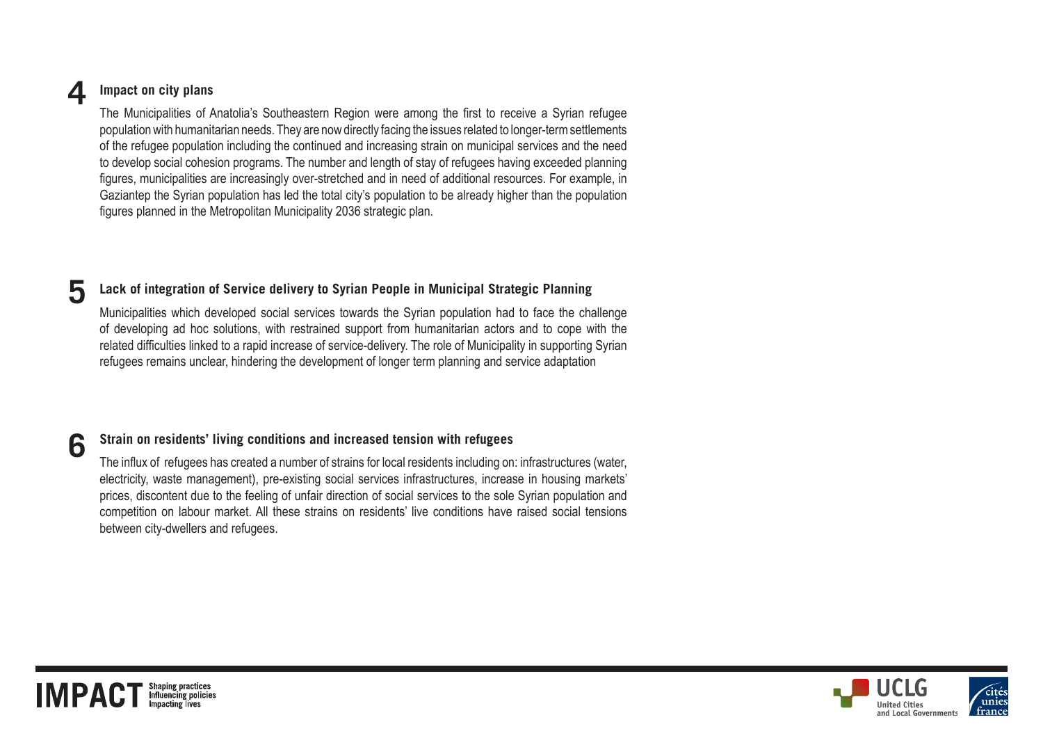# **4 Impact on city plans**

The Municipalities of Anatolia's Southeastern Region were among the first to receive a Syrian refugee population with humanitarian needs. They are now directly facing the issues related to longer-term settlements of the refugee population including the continued and increasing strain on municipal services and the need to develop social cohesion programs. The number and length of stay of refugees having exceeded planning figures, municipalities are increasingly over-stretched and in need of additional resources. For example, in Gaziantep the Syrian population has led the total city's population to be already higher than the population figures planned in the Metropolitan Municipality 2036 strategic plan.

### **5 Lack of integration of Service delivery to Syrian People in Municipal Strategic Planning**

Municipalities which developed social services towards the Syrian population had to face the challenge of developing ad hoc solutions, with restrained support from humanitarian actors and to cope with the related difficulties linked to a rapid increase of service-delivery. The role of Municipality in supporting Syrian refugees remains unclear, hindering the development of longer term planning and service adaptation

# **6 Strain on residents' living conditions and increased tension with refugees**

The influx of refugees has created a number of strains for local residents including on: infrastructures (water, electricity, waste management), pre-existing social services infrastructures, increase in housing markets' prices, discontent due to the feeling of unfair direction of social services to the sole Syrian population and competition on labour market. All these strains on residents' live conditions have raised social tensions between city-dwellers and refugees.



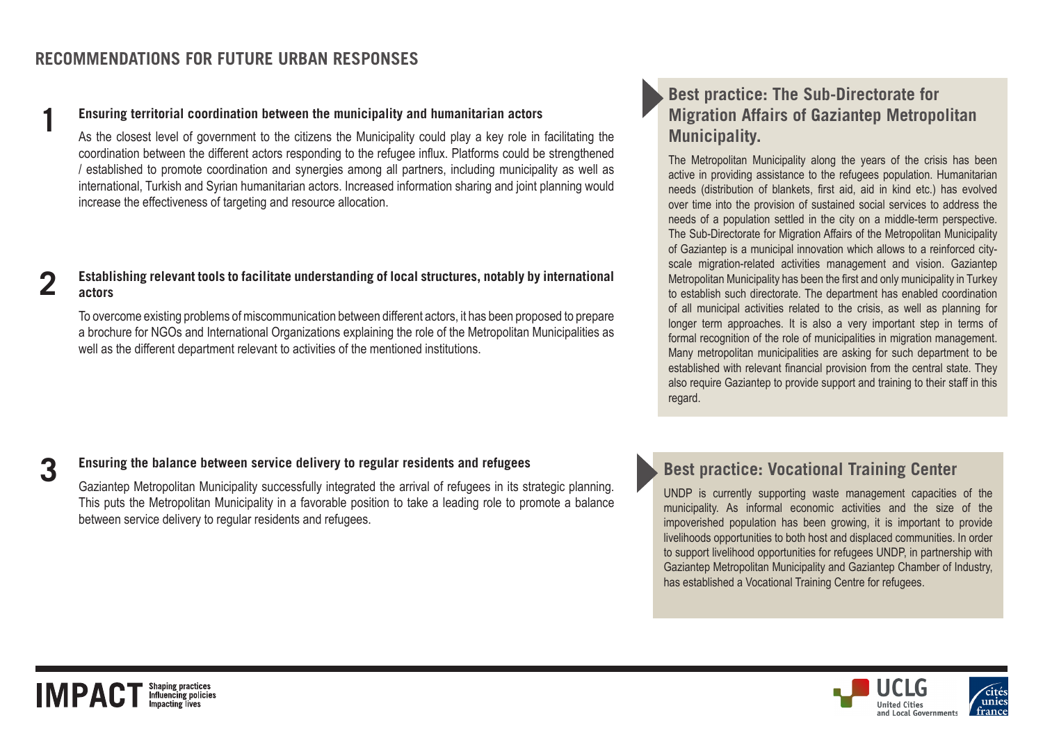### **1 Ensuring territorial coordination between the municipality and humanitarian actors**

As the closest level of government to the citizens the Municipality could play a key role in facilitating the coordination between the different actors responding to the refugee influx. Platforms could be strengthened / established to promote coordination and synergies among all partners, including municipality as well as international, Turkish and Syrian humanitarian actors. Increased information sharing and joint planning would increase the effectiveness of targeting and resource allocation.

#### **Establishing relevant tools to facilitate understanding of local structures, notably by international actors 2**

To overcome existing problems of miscommunication between different actors, it has been proposed to prepare a brochure for NGOs and International Organizations explaining the role of the Metropolitan Municipalities as well as the different department relevant to activities of the mentioned institutions.

### **3 Ensuring the balance between service delivery to regular residents and refugees**

Gaziantep Metropolitan Municipality successfully integrated the arrival of refugees in its strategic planning. This puts the Metropolitan Municipality in a favorable position to take a leading role to promote a balance between service delivery to regular residents and refugees.

# **Best practice: The Sub-Directorate for Migration Affairs of Gaziantep Metropolitan Municipality.**

The Metropolitan Municipality along the years of the crisis has been active in providing assistance to the refugees population. Humanitarian needs (distribution of blankets, first aid, aid in kind etc.) has evolved over time into the provision of sustained social services to address the needs of a population settled in the city on a middle-term perspective. The Sub-Directorate for Migration Affairs of the Metropolitan Municipality of Gaziantep is a municipal innovation which allows to a reinforced cityscale migration-related activities management and vision. Gaziantep Metropolitan Municipality has been the first and only municipality in Turkey to establish such directorate. The department has enabled coordination of all municipal activities related to the crisis, as well as planning for longer term approaches. It is also a very important step in terms of formal recognition of the role of municipalities in migration management. Many metropolitan municipalities are asking for such department to be established with relevant financial provision from the central state. They also require Gaziantep to provide support and training to their staff in this regard.

# **Best practice: Vocational Training Center**

UNDP is currently supporting waste management capacities of the municipality. As informal economic activities and the size of the impoverished population has been growing, it is important to provide livelihoods opportunities to both host and displaced communities. In order to support livelihood opportunities for refugees UNDP, in partnership with Gaziantep Metropolitan Municipality and Gaziantep Chamber of Industry, has established a Vocational Training Centre for refugees.



### Shaping practices<br>Influencing policies **IMPACT**